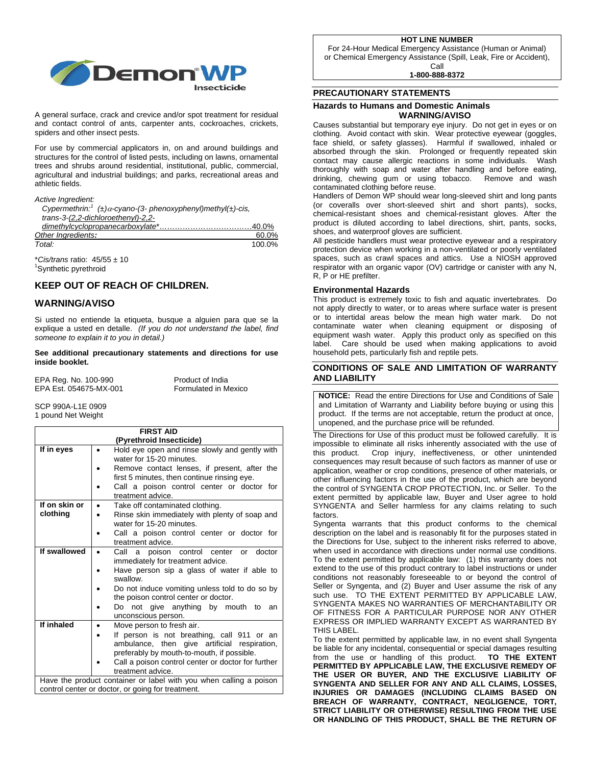

A general surface, crack and crevice and/or spot treatment for residual and contact control of ants, carpenter ants, cockroaches, crickets, spiders and other insect pests.

For use by commercial applicators in, on and around buildings and structures for the control of listed pests, including on lawns, ornamental trees and shrubs around residential, institutional, public, commercial, agricultural and industrial buildings; and parks, recreational areas and athletic fields.

| Active Ingredient: |
|--------------------|
|                    |

| Cypermethrin: <sup>1</sup> ( $\pm$ ) $\alpha$ -cyano-(3- phenoxyphenyl)methyl( $\pm$ )-cis, |       |
|---------------------------------------------------------------------------------------------|-------|
| trans-3-(2,2-dichloroethenyl)-2,2-                                                          |       |
|                                                                                             |       |
| Other Ingredients:                                                                          | 60.0% |
|                                                                                             |       |

*Total:* 100.0% \**Cis/trans* ratio: 45/55 ± 10 1

<sup>1</sup>Synthetic pyrethroid

# **KEEP OUT OF REACH OF CHILDREN.**

# **WARNING/AVISO**

Si usted no entiende la etiqueta, busque a alguien para que se la explique a usted en detalle. *(If you do not understand the label, find someone to explain it to you in detail.)* 

**See additional precautionary statements and directions for use inside booklet.** 

| EPA Reg. No. 100-990   | Product of India     |
|------------------------|----------------------|
| EPA Est. 054675-MX-001 | Formulated in Mexico |

SCP 990A-L1E 0909 1 pound Net Weight

|               | <b>FIRST AID</b>                                                           |  |  |
|---------------|----------------------------------------------------------------------------|--|--|
|               | (Pyrethroid Insecticide)                                                   |  |  |
| If in eyes    | Hold eye open and rinse slowly and gently with<br>٠                        |  |  |
|               | water for 15-20 minutes.                                                   |  |  |
|               | Remove contact lenses, if present, after the                               |  |  |
|               | first 5 minutes, then continue rinsing eye.                                |  |  |
|               | Call a poison control center or doctor for                                 |  |  |
|               | treatment advice.                                                          |  |  |
| If on skin or | Take off contaminated clothing.<br>$\bullet$                               |  |  |
| clothing      | Rinse skin immediately with plenty of soap and<br>water for 15-20 minutes. |  |  |
|               |                                                                            |  |  |
|               | Call a poison control center or doctor for<br>treatment advice.            |  |  |
| If swallowed  | Call a poison control center<br>doctor<br>$\alpha$                         |  |  |
|               | immediately for treatment advice.                                          |  |  |
|               | Have person sip a glass of water if able to                                |  |  |
|               | swallow.                                                                   |  |  |
|               | Do not induce vomiting unless told to do so by                             |  |  |
|               | the poison control center or doctor.                                       |  |  |
|               | Do not give anything by mouth to<br>an                                     |  |  |
|               | unconscious person.                                                        |  |  |
| If inhaled    | Move person to fresh air.<br>$\bullet$                                     |  |  |
|               | If person is not breathing, call 911 or an                                 |  |  |
|               | ambulance, then give artificial respiration,                               |  |  |
|               | preferably by mouth-to-mouth, if possible.                                 |  |  |
|               | Call a poison control center or doctor for further                         |  |  |
|               | treatment advice.                                                          |  |  |
|               | Have the product container or label with you when calling a poison         |  |  |
|               | control center or doctor, or going for treatment.                          |  |  |

**HOT LINE NUMBER** 

For 24-Hour Medical Emergency Assistance (Human or Animal) or Chemical Emergency Assistance (Spill, Leak, Fire or Accident), Call

**1-800-888-8372** 

# **PRECAUTIONARY STATEMENTS**

## **Hazards to Humans and Domestic Animals WARNING/AVISO**

Causes substantial but temporary eye injury. Do not get in eyes or on clothing. Avoid contact with skin. Wear protective eyewear (goggles, face shield, or safety glasses). Harmful if swallowed, inhaled or absorbed through the skin. Prolonged or frequently repeated skin contact may cause allergic reactions in some individuals. Wash thoroughly with soap and water after handling and before eating, drinking, chewing gum or using tobacco. Remove and wash contaminated clothing before reuse.

Handlers of Demon WP should wear long-sleeved shirt and long pants (or coveralls over short-sleeved shirt and short pants), socks, chemical-resistant shoes and chemical-resistant gloves. After the product is diluted according to label directions, shirt, pants, socks, shoes, and waterproof gloves are sufficient.

All pesticide handlers must wear protective eyewear and a respiratory protection device when working in a non-ventilated or poorly ventilated spaces, such as crawl spaces and attics. Use a NIOSH approved respirator with an organic vapor (OV) cartridge or canister with any N, R, P or HE prefilter.

## **Environmental Hazards**

This product is extremely toxic to fish and aquatic invertebrates. Do not apply directly to water, or to areas where surface water is present or to intertidal areas below the mean high water mark. Do not contaminate water when cleaning equipment or disposing of equipment wash water. Apply this product only as specified on this label. Care should be used when making applications to avoid household pets, particularly fish and reptile pets.

## **CONDITIONS OF SALE AND LIMITATION OF WARRANTY AND LIABILITY**

**NOTICE:** Read the entire Directions for Use and Conditions of Sale and Limitation of Warranty and Liability before buying or using this product. If the terms are not acceptable, return the product at once, unopened, and the purchase price will be refunded.

The Directions for Use of this product must be followed carefully. It is impossible to eliminate all risks inherently associated with the use of this product. Crop injury, ineffectiveness, or other unintended consequences may result because of such factors as manner of use or application, weather or crop conditions, presence of other materials, or other influencing factors in the use of the product, which are beyond the control of SYNGENTA CROP PROTECTION, Inc. or Seller. To the extent permitted by applicable law, Buyer and User agree to hold SYNGENTA and Seller harmless for any claims relating to such factors.

Syngenta warrants that this product conforms to the chemical description on the label and is reasonably fit for the purposes stated in the Directions for Use, subject to the inherent risks referred to above, when used in accordance with directions under normal use conditions. To the extent permitted by applicable law: (1) this warranty does not extend to the use of this product contrary to label instructions or under conditions not reasonably foreseeable to or beyond the control of Seller or Syngenta, and (2) Buyer and User assume the risk of any such use. TO THE EXTENT PERMITTED BY APPLICABLE LAW, SYNGENTA MAKES NO WARRANTIES OF MERCHANTABILITY OR OF FITNESS FOR A PARTICULAR PURPOSE NOR ANY OTHER EXPRESS OR IMPLIED WARRANTY EXCEPT AS WARRANTED BY THIS LABEL.

To the extent permitted by applicable law, in no event shall Syngenta be liable for any incidental, consequential or special damages resulting from the use or handling of this product. **TO THE EXTENT PERMITTED BY APPLICABLE LAW, THE EXCLUSIVE REMEDY OF THE USER OR BUYER, AND THE EXCLUSIVE LIABILITY OF SYNGENTA AND SELLER FOR ANY AND ALL CLAIMS, LOSSES, INJURIES OR DAMAGES (INCLUDING CLAIMS BASED ON BREACH OF WARRANTY, CONTRACT, NEGLIGENCE, TORT, STRICT LIABILITY OR OTHERWISE) RESULTING FROM THE USE OR HANDLING OF THIS PRODUCT, SHALL BE THE RETURN OF**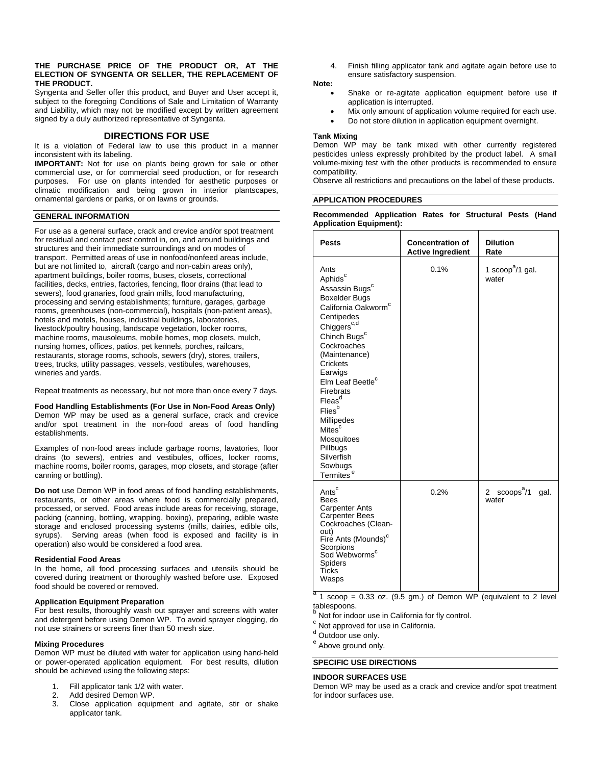#### **THE PURCHASE PRICE OF THE PRODUCT OR, AT THE ELECTION OF SYNGENTA OR SELLER, THE REPLACEMENT OF THE PRODUCT.**

Syngenta and Seller offer this product, and Buyer and User accept it, subject to the foregoing Conditions of Sale and Limitation of Warranty and Liability, which may not be modified except by written agreement signed by a duly authorized representative of Syngenta.

## **DIRECTIONS FOR USE**

It is a violation of Federal law to use this product in a manner inconsistent with its labeling.

**IMPORTANT:** Not for use on plants being grown for sale or other commercial use, or for commercial seed production, or for research purposes. For use on plants intended for aesthetic purposes or climatic modification and being grown in interior plantscapes, ornamental gardens or parks, or on lawns or grounds.

## **GENERAL INFORMATION**

For use as a general surface, crack and crevice and/or spot treatment for residual and contact pest control in, on, and around buildings and structures and their immediate surroundings and on modes of transport. Permitted areas of use in nonfood/nonfeed areas include, but are not limited to, aircraft (cargo and non-cabin areas only), apartment buildings, boiler rooms, buses, closets, correctional facilities, decks, entries, factories, fencing, floor drains (that lead to sewers), food granaries, food grain mills, food manufacturing, processing and serving establishments; furniture, garages, garbage rooms, greenhouses (non-commercial), hospitals (non-patient areas), hotels and motels, houses, industrial buildings, laboratories, livestock/poultry housing, landscape vegetation, locker rooms, machine rooms, mausoleums, mobile homes, mop closets, mulch, nursing homes, offices, patios, pet kennels, porches, railcars, restaurants, storage rooms, schools, sewers (dry), stores, trailers, trees, trucks, utility passages, vessels, vestibules, warehouses, wineries and yards.

Repeat treatments as necessary, but not more than once every 7 days.

#### **Food Handling Establishments (For Use in Non-Food Areas Only)**

Demon WP may be used as a general surface, crack and crevice and/or spot treatment in the non-food areas of food handling establishments.

Examples of non-food areas include garbage rooms, lavatories, floor drains (to sewers), entries and vestibules, offices, locker rooms, machine rooms, boiler rooms, garages, mop closets, and storage (after canning or bottling).

**Do not** use Demon WP in food areas of food handling establishments, restaurants, or other areas where food is commercially prepared, processed, or served. Food areas include areas for receiving, storage, packing (canning, bottling, wrapping, boxing), preparing, edible waste storage and enclosed processing systems (mills, dairies, edible oils, syrups). Serving areas (when food is exposed and facility is in operation) also would be considered a food area.

#### **Residential Food Areas**

In the home, all food processing surfaces and utensils should be covered during treatment or thoroughly washed before use. Exposed food should be covered or removed.

#### **Application Equipment Preparation**

For best results, thoroughly wash out sprayer and screens with water and detergent before using Demon WP. To avoid sprayer clogging, do not use strainers or screens finer than 50 mesh size.

#### **Mixing Procedures**

Demon WP must be diluted with water for application using hand-held or power-operated application equipment. For best results, dilution should be achieved using the following steps:

- 1. Fill applicator tank 1/2 with water.<br>2. Add desired Demon WP
- Add desired Demon WP.
- 3. Close application equipment and agitate, stir or shake applicator tank.

4. Finish filling applicator tank and agitate again before use to ensure satisfactory suspension.

## **Note:**

- Shake or re-agitate application equipment before use if application is interrupted.
- $\bullet$  Mix only amount of application volume required for each use.
- Do not store dilution in application equipment overnight.

## **Tank Mixing**

Demon WP may be tank mixed with other currently registered pesticides unless expressly prohibited by the product label. A small volume-mixing test with the other products is recommended to ensure compatibility.

Observe all restrictions and precautions on the label of these products.

## **APPLICATION PROCEDURES**

**Recommended Application Rates for Structural Pests (Hand Application Equipment):** 

| <b>Pests</b>                                                                                                                                                                                                                                                                                                                                                                                                                                  | <b>Concentration of</b><br><b>Active Ingredient</b> | <b>Dilution</b><br>Rate                          |
|-----------------------------------------------------------------------------------------------------------------------------------------------------------------------------------------------------------------------------------------------------------------------------------------------------------------------------------------------------------------------------------------------------------------------------------------------|-----------------------------------------------------|--------------------------------------------------|
| Ants<br>Aphids <sup>c</sup><br>Assassin Bugs <sup>c</sup><br><b>Boxelder Bugs</b><br>California Oakworm <sup>c</sup><br>Centipedes<br>Chiggers <sup>c,d</sup><br>Chinch Bugs <sup>c</sup><br>Cockroaches<br>(Maintenance)<br>Crickets<br>Earwigs<br>Elm Leaf Beetle <sup>c</sup><br>Firebrats<br>Fleas <sup>d</sup><br>Fliesb<br>Millipedes<br>Mites <sup>c</sup><br>Mosquitoes<br>Pillbugs<br>Silverfish<br>Sowbugs<br>Termites <sup>e</sup> | 0.1%                                                | 1 scoop <sup>a</sup> /1 gal.<br>water            |
| Ants <sup>c</sup><br><b>Bees</b><br><b>Carpenter Ants</b><br><b>Carpenter Bees</b><br>Cockroaches (Clean-<br>out)<br>Fire Ants (Mounds) <sup>c</sup><br>Scorpions<br>Sod Webworms <sup>c</sup><br>Spiders<br>Ticks<br>Wasps                                                                                                                                                                                                                   | 0.2%                                                | $s$ coops $a/1$<br>$\mathbf{2}$<br>gal.<br>water |

 $a$  1 scoop = 0.33 oz. (9.5 gm.) of Demon WP (equivalent to 2 level tablespoons.

<sup>b</sup> Not for indoor use in California for fly control.

 $c$  Not approved for use in California.

d Outdoor use only.

<sup>e</sup> Above ground only.

## **SPECIFIC USE DIRECTIONS**

#### **INDOOR SURFACES USE**

Demon WP may be used as a crack and crevice and/or spot treatment for indoor surfaces use.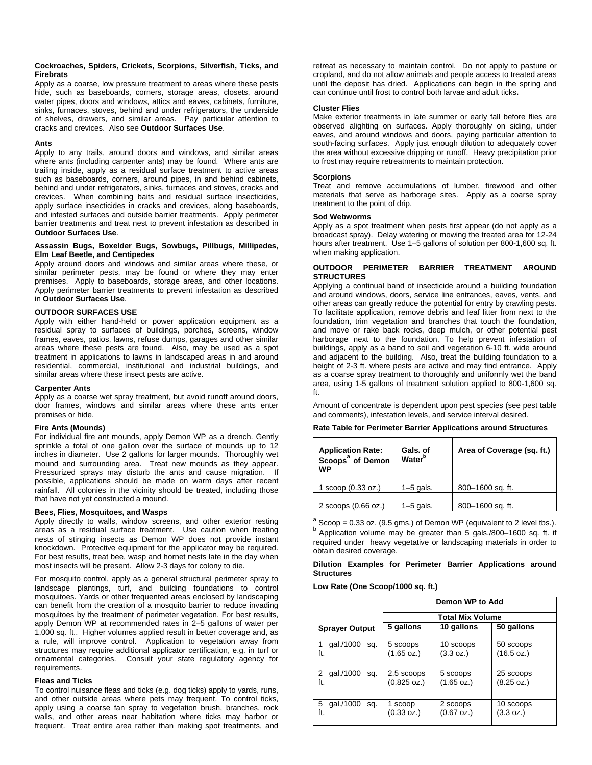#### **Cockroaches, Spiders, Crickets, Scorpions, Silverfish, Ticks, and Firebrats**

Apply as a coarse, low pressure treatment to areas where these pests hide, such as baseboards, corners, storage areas, closets, around water pipes, doors and windows, attics and eaves, cabinets, furniture, sinks, furnaces, stoves, behind and under refrigerators, the underside of shelves, drawers, and similar areas. Pay particular attention to cracks and crevices. Also see **Outdoor Surfaces Use**.

### **Ants**

Apply to any trails, around doors and windows, and similar areas where ants (including carpenter ants) may be found. Where ants are trailing inside, apply as a residual surface treatment to active areas such as baseboards, corners, around pipes, in and behind cabinets, behind and under refrigerators, sinks, furnaces and stoves, cracks and crevices. When combining baits and residual surface insecticides, apply surface insecticides in cracks and crevices, along baseboards, and infested surfaces and outside barrier treatments. Apply perimeter barrier treatments and treat nest to prevent infestation as described in **Outdoor Surfaces Use**.

#### **Assassin Bugs, Boxelder Bugs, Sowbugs, Pillbugs, Millipedes, Elm Leaf Beetle, and Centipedes**

Apply around doors and windows and similar areas where these, or similar perimeter pests, may be found or where they may enter premises. Apply to baseboards, storage areas, and other locations. Apply perimeter barrier treatments to prevent infestation as described in **Outdoor Surfaces Use**.

### **OUTDOOR SURFACES USE**

Apply with either hand-held or power application equipment as a residual spray to surfaces of buildings, porches, screens, window frames, eaves, patios, lawns, refuse dumps, garages and other similar areas where these pests are found. Also, may be used as a spot treatment in applications to lawns in landscaped areas in and around residential, commercial, institutional and industrial buildings, and similar areas where these insect pests are active.

#### **Carpenter Ants**

Apply as a coarse wet spray treatment, but avoid runoff around doors, door frames, windows and similar areas where these ants enter premises or hide.

#### **Fire Ants (Mounds)**

For individual fire ant mounds, apply Demon WP as a drench. Gently sprinkle a total of one gallon over the surface of mounds up to 12 inches in diameter. Use 2 gallons for larger mounds. Thoroughly wet mound and surrounding area. Treat new mounds as they appear. Pressurized sprays may disturb the ants and cause migration. If possible, applications should be made on warm days after recent rainfall. All colonies in the vicinity should be treated, including those that have not yet constructed a mound.

#### **Bees, Flies, Mosquitoes, and Wasps**

Apply directly to walls, window screens, and other exterior resting areas as a residual surface treatment. Use caution when treating nests of stinging insects as Demon WP does not provide instant knockdown. Protective equipment for the applicator may be required. For best results, treat bee, wasp and hornet nests late in the day when most insects will be present. Allow 2-3 days for colony to die.

For mosquito control, apply as a general structural perimeter spray to landscape plantings, turf, and building foundations to control mosquitoes. Yards or other frequented areas enclosed by landscaping can benefit from the creation of a mosquito barrier to reduce invading mosquitoes by the treatment of perimeter vegetation. For best results, apply Demon WP at recommended rates in 2–5 gallons of water per 1,000 sq. ft.. Higher volumes applied result in better coverage and, as a rule, will improve control. Application to vegetation away from structures may require additional applicator certification, e.g. in turf or ornamental categories. Consult your state regulatory agency for requirements.

#### **Fleas and Ticks**

To control nuisance fleas and ticks (e.g. dog ticks) apply to yards, runs, and other outside areas where pets may frequent. To control ticks, apply using a coarse fan spray to vegetation brush, branches, rock walls, and other areas near habitation where ticks may harbor or frequent. Treat entire area rather than making spot treatments, and

retreat as necessary to maintain control. Do not apply to pasture or cropland, and do not allow animals and people access to treated areas until the deposit has dried. Applications can begin in the spring and can continue until frost to control both larvae and adult ticks**.**

#### **Cluster Flies**

Make exterior treatments in late summer or early fall before flies are observed alighting on surfaces. Apply thoroughly on siding, under eaves, and around windows and doors, paying particular attention to south-facing surfaces. Apply just enough dilution to adequately cover the area without excessive dripping or runoff. Heavy precipitation prior to frost may require retreatments to maintain protection.

#### **Scorpions**

Treat and remove accumulations of lumber, firewood and other materials that serve as harborage sites. Apply as a coarse spray treatment to the point of drip.

## **Sod Webworms**

Apply as a spot treatment when pests first appear (do not apply as a broadcast spray). Delay watering or mowing the treated area for 12-24 hours after treatment. Use 1–5 gallons of solution per 800-1,600 sq. ft. when making application.

### **OUTDOOR PERIMETER BARRIER TREATMENT AROUND STRUCTURES**

Applying a continual band of insecticide around a building foundation and around windows, doors, service line entrances, eaves, vents, and other areas can greatly reduce the potential for entry by crawling pests. To facilitate application, remove debris and leaf litter from next to the foundation, trim vegetation and branches that touch the foundation, and move or rake back rocks, deep mulch, or other potential pest harborage next to the foundation. To help prevent infestation of buildings, apply as a band to soil and vegetation 6-10 ft. wide around and adjacent to the building. Also, treat the building foundation to a height of 2-3 ft. where pests are active and may find entrance. Apply as a coarse spray treatment to thoroughly and uniformly wet the band area, using 1-5 gallons of treatment solution applied to 800-1,600 sq. ft.

Amount of concentrate is dependent upon pest species (see pest table and comments), infestation levels, and service interval desired.

#### **Rate Table for Perimeter Barrier Applications around Structures**

| <b>Application Rate:</b><br>Scoops <sup>ª</sup> of Demon<br>WP | Gals. of<br>Water <sup>b</sup> | Area of Coverage (sq. ft.) |
|----------------------------------------------------------------|--------------------------------|----------------------------|
| 1 scoop (0.33 oz.)                                             | $1-5$ gals.                    | 800-1600 sq. ft.           |
| 2 scoops (0.66 oz.)                                            | $1-5$ gals.                    | 800-1600 sq. ft.           |

 $a<sup>a</sup>$  Scoop = 0.33 oz. (9.5 gms.) of Demon WP (equivalent to 2 level tbs.). b Application volume may be greater than 5 gals./800-1600 sq. ft. if required under heavy vegetative or landscaping materials in order to obtain desired coverage.

## **Dilution Examples for Perimeter Barrier Applications around Structures**

#### **Low Rate (One Scoop/1000 sq. ft.)**

|                                         | Demon WP to Add           |                        |                         |
|-----------------------------------------|---------------------------|------------------------|-------------------------|
|                                         | <b>Total Mix Volume</b>   |                        |                         |
| <b>Sprayer Output</b>                   | 5 gallons                 | 10 gallons             | 50 gallons              |
| qal./1000<br>sq.<br>ft.                 | 5 scoops<br>(1.65 oz.)    | 10 scoops<br>(3.3 oz.) | 50 scoops<br>(16.5 oz.) |
| gal./1000<br>$\mathbf{2}$<br>sq.<br>ft. | 2.5 scoops<br>(0.825 oz.) | 5 scoops<br>(1.65 oz.) | 25 scoops<br>(8.25 oz.) |
| 5<br>gal./1000<br>sq.<br>ft.            | 1 scoop<br>(0.33 oz.)     | 2 scoops<br>(0.67 oz.) | 10 scoops<br>(3.3 oz.)  |